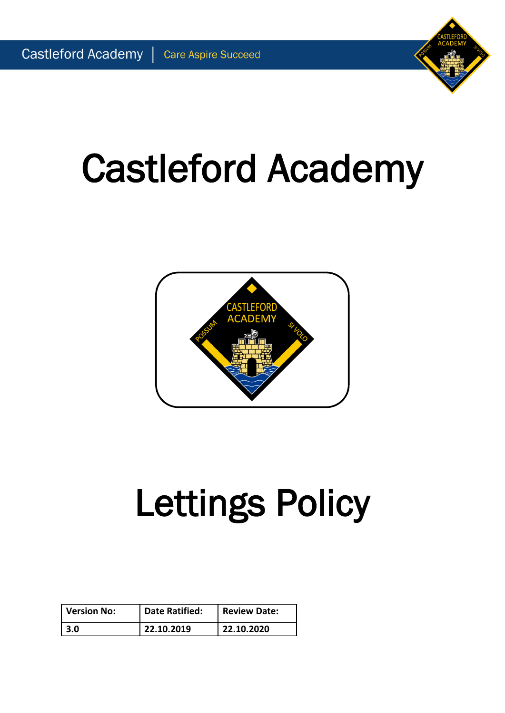# Castleford Academy



# Lettings Policy

| Version No: | <b>Date Ratified:</b> | Review Date: |
|-------------|-----------------------|--------------|
| l 3.0       | 22.10.2019            | 22.10.2020   |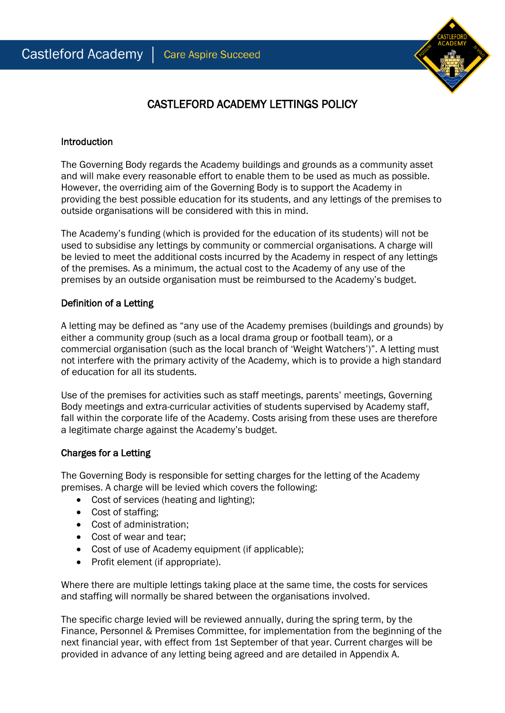

## CASTLEFORD ACADEMY LETTINGS POLICY

#### **Introduction**

The Governing Body regards the Academy buildings and grounds as a community asset and will make every reasonable effort to enable them to be used as much as possible. However, the overriding aim of the Governing Body is to support the Academy in providing the best possible education for its students, and any lettings of the premises to outside organisations will be considered with this in mind.

The Academy's funding (which is provided for the education of its students) will not be used to subsidise any lettings by community or commercial organisations. A charge will be levied to meet the additional costs incurred by the Academy in respect of any lettings of the premises. As a minimum, the actual cost to the Academy of any use of the premises by an outside organisation must be reimbursed to the Academy's budget.

## Definition of a Letting

A letting may be defined as "any use of the Academy premises (buildings and grounds) by either a community group (such as a local drama group or football team), or a commercial organisation (such as the local branch of 'Weight Watchers')". A letting must not interfere with the primary activity of the Academy, which is to provide a high standard of education for all its students.

Use of the premises for activities such as staff meetings, parents' meetings, Governing Body meetings and extra-curricular activities of students supervised by Academy staff, fall within the corporate life of the Academy. Costs arising from these uses are therefore a legitimate charge against the Academy's budget.

## Charges for a Letting

The Governing Body is responsible for setting charges for the letting of the Academy premises. A charge will be levied which covers the following:

- Cost of services (heating and lighting);
- Cost of staffing;
- Cost of administration:
- Cost of wear and tear;
- Cost of use of Academy equipment (if applicable);
- Profit element (if appropriate).

Where there are multiple lettings taking place at the same time, the costs for services and staffing will normally be shared between the organisations involved.

The specific charge levied will be reviewed annually, during the spring term, by the Finance, Personnel & Premises Committee, for implementation from the beginning of the next financial year, with effect from 1st September of that year. Current charges will be provided in advance of any letting being agreed and are detailed in Appendix A.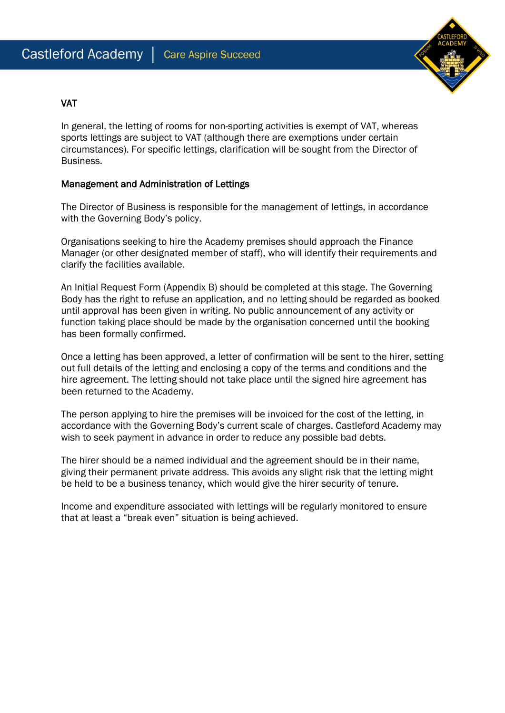

## VAT

In general, the letting of rooms for non-sporting activities is exempt of VAT, whereas sports lettings are subject to VAT (although there are exemptions under certain circumstances). For specific lettings, clarification will be sought from the Director of Business.

## Management and Administration of Lettings

The Director of Business is responsible for the management of lettings, in accordance with the Governing Body's policy.

Organisations seeking to hire the Academy premises should approach the Finance Manager (or other designated member of staff), who will identify their requirements and clarify the facilities available.

An Initial Request Form (Appendix B) should be completed at this stage. The Governing Body has the right to refuse an application, and no letting should be regarded as booked until approval has been given in writing. No public announcement of any activity or function taking place should be made by the organisation concerned until the booking has been formally confirmed.

Once a letting has been approved, a letter of confirmation will be sent to the hirer, setting out full details of the letting and enclosing a copy of the terms and conditions and the hire agreement. The letting should not take place until the signed hire agreement has been returned to the Academy.

The person applying to hire the premises will be invoiced for the cost of the letting, in accordance with the Governing Body's current scale of charges. Castleford Academy may wish to seek payment in advance in order to reduce any possible bad debts.

The hirer should be a named individual and the agreement should be in their name, giving their permanent private address. This avoids any slight risk that the letting might be held to be a business tenancy, which would give the hirer security of tenure.

Income and expenditure associated with lettings will be regularly monitored to ensure that at least a "break even" situation is being achieved.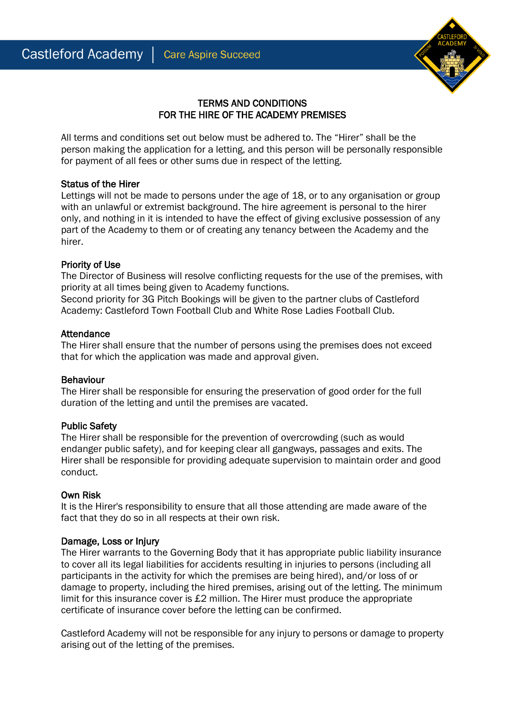

## TERMS AND CONDITIONS FOR THE HIRE OF THE ACADEMY PREMISES

All terms and conditions set out below must be adhered to. The "Hirer" shall be the person making the application for a letting, and this person will be personally responsible for payment of all fees or other sums due in respect of the letting.

## Status of the Hirer

Lettings will not be made to persons under the age of 18, or to any organisation or group with an unlawful or extremist background. The hire agreement is personal to the hirer only, and nothing in it is intended to have the effect of giving exclusive possession of any part of the Academy to them or of creating any tenancy between the Academy and the hirer.

## Priority of Use

The Director of Business will resolve conflicting requests for the use of the premises, with priority at all times being given to Academy functions.

Second priority for 3G Pitch Bookings will be given to the partner clubs of Castleford Academy: Castleford Town Football Club and White Rose Ladies Football Club.

## Attendance

The Hirer shall ensure that the number of persons using the premises does not exceed that for which the application was made and approval given.

## Behaviour

The Hirer shall be responsible for ensuring the preservation of good order for the full duration of the letting and until the premises are vacated.

## Public Safety

The Hirer shall be responsible for the prevention of overcrowding (such as would endanger public safety), and for keeping clear all gangways, passages and exits. The Hirer shall be responsible for providing adequate supervision to maintain order and good conduct.

## Own Risk

It is the Hirer's responsibility to ensure that all those attending are made aware of the fact that they do so in all respects at their own risk.

## Damage, Loss or Injury

The Hirer warrants to the Governing Body that it has appropriate public liability insurance to cover all its legal liabilities for accidents resulting in injuries to persons (including all participants in the activity for which the premises are being hired), and/or loss of or damage to property, including the hired premises, arising out of the letting. The minimum limit for this insurance cover is £2 million. The Hirer must produce the appropriate certificate of insurance cover before the letting can be confirmed.

Castleford Academy will not be responsible for any injury to persons or damage to property arising out of the letting of the premises.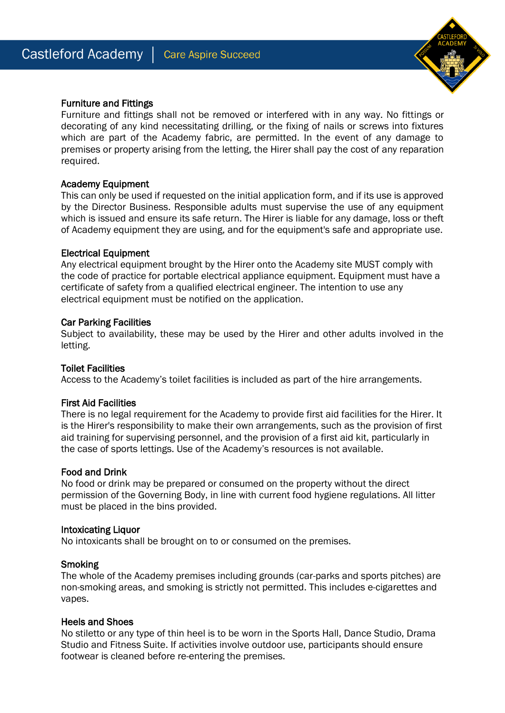

## Furniture and Fittings

Furniture and fittings shall not be removed or interfered with in any way. No fittings or decorating of any kind necessitating drilling, or the fixing of nails or screws into fixtures which are part of the Academy fabric, are permitted. In the event of any damage to premises or property arising from the letting, the Hirer shall pay the cost of any reparation required.

#### Academy Equipment

This can only be used if requested on the initial application form, and if its use is approved by the Director Business. Responsible adults must supervise the use of any equipment which is issued and ensure its safe return. The Hirer is liable for any damage, loss or theft of Academy equipment they are using, and for the equipment's safe and appropriate use.

#### Electrical Equipment

Any electrical equipment brought by the Hirer onto the Academy site MUST comply with the code of practice for portable electrical appliance equipment. Equipment must have a certificate of safety from a qualified electrical engineer. The intention to use any electrical equipment must be notified on the application.

#### Car Parking Facilities

Subject to availability, these may be used by the Hirer and other adults involved in the letting.

#### Toilet Facilities

Access to the Academy's toilet facilities is included as part of the hire arrangements.

#### First Aid Facilities

There is no legal requirement for the Academy to provide first aid facilities for the Hirer. It is the Hirer's responsibility to make their own arrangements, such as the provision of first aid training for supervising personnel, and the provision of a first aid kit, particularly in the case of sports lettings. Use of the Academy's resources is not available.

#### Food and Drink

No food or drink may be prepared or consumed on the property without the direct permission of the Governing Body, in line with current food hygiene regulations. All litter must be placed in the bins provided.

#### Intoxicating Liquor

No intoxicants shall be brought on to or consumed on the premises.

#### **Smoking**

The whole of the Academy premises including grounds (car-parks and sports pitches) are non-smoking areas, and smoking is strictly not permitted. This includes e-cigarettes and vapes.

#### Heels and Shoes

No stiletto or any type of thin heel is to be worn in the Sports Hall, Dance Studio, Drama Studio and Fitness Suite. If activities involve outdoor use, participants should ensure footwear is cleaned before re-entering the premises.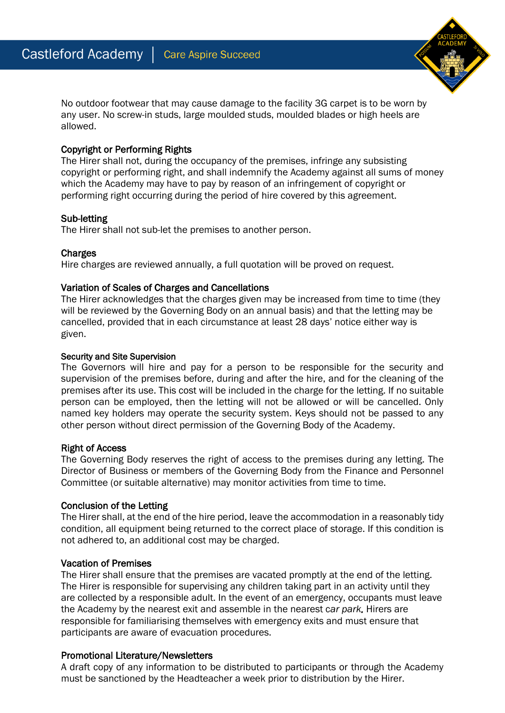No outdoor footwear that may cause damage to the facility 3G carpet is to be worn by any user. No screw-in studs, large moulded studs, moulded blades or high heels are allowed.

## Copyright or Performing Rights

The Hirer shall not, during the occupancy of the premises, infringe any subsisting copyright or performing right, and shall indemnify the Academy against all sums of money which the Academy may have to pay by reason of an infringement of copyright or performing right occurring during the period of hire covered by this agreement.

## Sub-letting

The Hirer shall not sub-let the premises to another person.

## **Charges**

Hire charges are reviewed annually, a full quotation will be proved on request.

## Variation of Scales of Charges and Cancellations

The Hirer acknowledges that the charges given may be increased from time to time (they will be reviewed by the Governing Body on an annual basis) and that the letting may be cancelled, provided that in each circumstance at least 28 days' notice either way is given.

#### Security and Site Supervision

The Governors will hire and pay for a person to be responsible for the security and supervision of the premises before, during and after the hire, and for the cleaning of the premises after its use. This cost will be included in the charge for the letting. If no suitable person can be employed, then the letting will not be allowed or will be cancelled. Only named key holders may operate the security system. Keys should not be passed to any other person without direct permission of the Governing Body of the Academy.

#### Right of Access

The Governing Body reserves the right of access to the premises during any letting. The Director of Business or members of the Governing Body from the Finance and Personnel Committee (or suitable alternative) may monitor activities from time to time.

## Conclusion of the Letting

The Hirer shall, at the end of the hire period, leave the accommodation in a reasonably tidy condition, all equipment being returned to the correct place of storage. If this condition is not adhered to, an additional cost may be charged.

## Vacation of Premises

The Hirer shall ensure that the premises are vacated promptly at the end of the letting. The Hirer is responsible for supervising any children taking part in an activity until they are collected by a responsible adult. In the event of an emergency, occupants must leave the Academy by the nearest exit and assemble in the nearest c*ar park.* Hirers are responsible for familiarising themselves with emergency exits and must ensure that participants are aware of evacuation procedures.

## Promotional Literature/Newsletters

A draft copy of any information to be distributed to participants or through the Academy must be sanctioned by the Headteacher a week prior to distribution by the Hirer.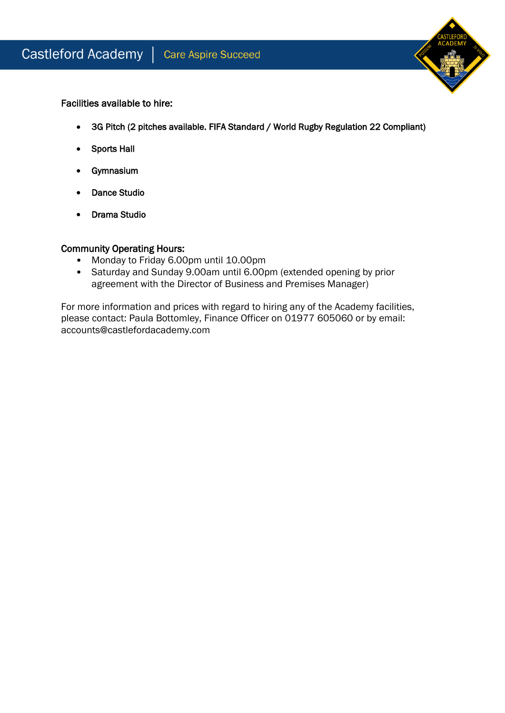

Facilities available to hire:

- 3G Pitch (2 pitches available. FIFA Standard / World Rugby Regulation 22 Compliant)
- Sports Hall
- Gymnasium
- Dance Studio
- Drama Studio

## Community Operating Hours:

- Monday to Friday 6.00pm until 10.00pm
- Saturday and Sunday 9.00am until 6.00pm (extended opening by prior agreement with the Director of Business and Premises Manager)

For more information and prices with regard to hiring any of the Academy facilities, please contact: Paula Bottomley, Finance Officer on 01977 605060 or by email: accounts@castlefordacademy.com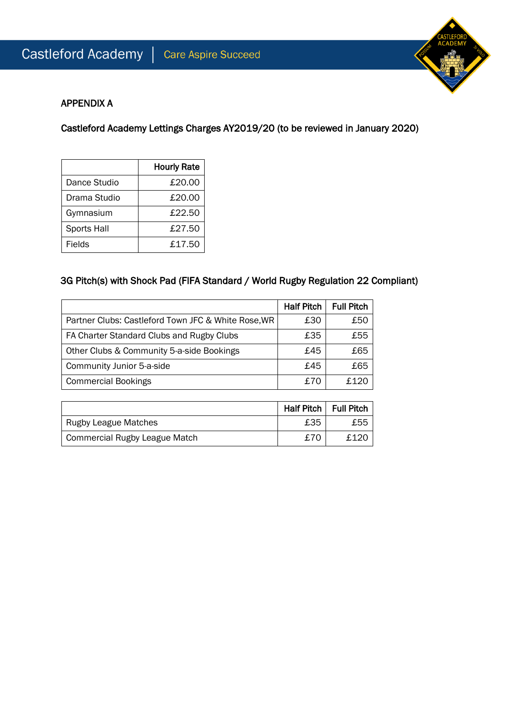

## APPENDIX A

Castleford Academy Lettings Charges AY2019/20 (to be reviewed in January 2020)

|                    | <b>Hourly Rate</b> |
|--------------------|--------------------|
| Dance Studio       | £20.00             |
| Drama Studio       | £20.00             |
| Gymnasium          | £22.50             |
| <b>Sports Hall</b> | £27.50             |
| Fields             | £17.50             |

## 3G Pitch(s) with Shock Pad (FIFA Standard / World Rugby Regulation 22 Compliant)

|                                                     | <b>Half Pitch</b> | <b>Full Pitch</b> |
|-----------------------------------------------------|-------------------|-------------------|
| Partner Clubs: Castleford Town JFC & White Rose, WR | £30               | £50               |
| FA Charter Standard Clubs and Rugby Clubs           | £35               | £55               |
| Other Clubs & Community 5-a-side Bookings           | £45               | £65               |
| Community Junior 5-a-side                           | £45               | £65               |
| <b>Commercial Bookings</b>                          | £70               | f.120             |

|                                      | Half Pitch   Full Pitch |      |
|--------------------------------------|-------------------------|------|
| <b>Rugby League Matches</b>          | £35                     | £55  |
| <b>Commercial Rugby League Match</b> | £70                     | £120 |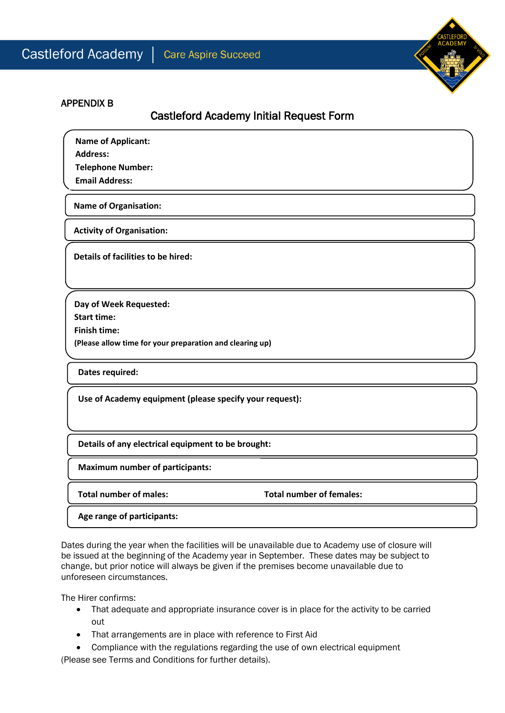

## APPENDIX B

## Castleford Academy Initial Request Form

**Name of Applicant:**

**Address:**

 $\overline{\phantom{a}}$ 

**Telephone Number:**

**Email Address:**

**Name of Organisation:** 

**Activity of Organisation:**

**Details of facilities to be hired:**

 **(Please allow time for your preparation and clearing up) Day of Week Requested: Start time: Finish time:**

**Dates required:**

**Use of Academy equipment (please specify your request):**

**Details of any electrical equipment to be brought:**

**Maximum number of participants:**

**Total number of males: Total number of females:**

**Age range of participants:**

Dates during the year when the facilities will be unavailable due to Academy use of closure will be issued at the beginning of the Academy year in September. These dates may be subject to change, but prior notice will always be given if the premises become unavailable due to unforeseen circumstances.

The Hirer confirms:

- That adequate and appropriate insurance cover is in place for the activity to be carried out
- That arrangements are in place with reference to First Aid
- Compliance with the regulations regarding the use of own electrical equipment

(Please see Terms and Conditions for further details).